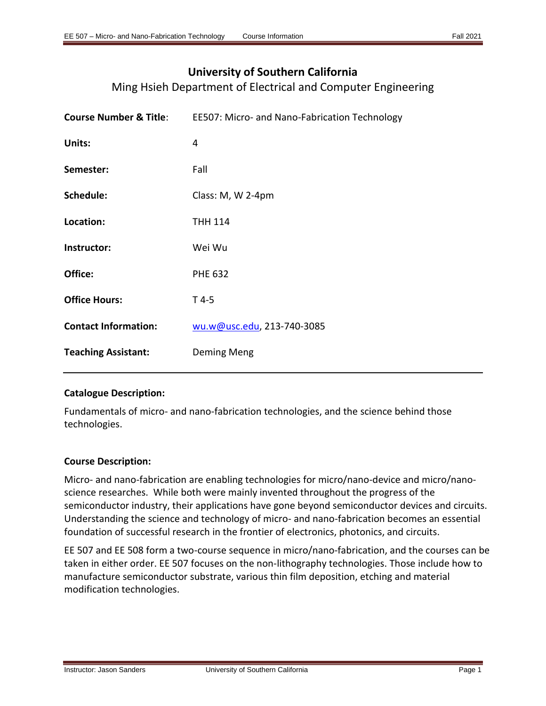# **University of Southern California**

Ming Hsieh Department of Electrical and Computer Engineering

|                             | <b>Course Number &amp; Title:</b> EE507: Micro- and Nano-Fabrication Technology |
|-----------------------------|---------------------------------------------------------------------------------|
| Units:                      | 4                                                                               |
| Semester:                   | Fall                                                                            |
| Schedule:                   | Class: M, W 2-4pm                                                               |
| Location:                   | <b>THH 114</b>                                                                  |
| Instructor:                 | Wei Wu                                                                          |
| Office:                     | <b>PHE 632</b>                                                                  |
| <b>Office Hours:</b>        | $T$ 4-5                                                                         |
| <b>Contact Information:</b> | wu.w@usc.edu, 213-740-3085                                                      |
| <b>Teaching Assistant:</b>  | Deming Meng                                                                     |
|                             |                                                                                 |

# **Catalogue Description:**

Fundamentals of micro- and nano-fabrication technologies, and the science behind those technologies.

# **Course Description:**

Micro- and nano-fabrication are enabling technologies for micro/nano-device and micro/nanoscience researches. While both were mainly invented throughout the progress of the semiconductor industry, their applications have gone beyond semiconductor devices and circuits. Understanding the science and technology of micro- and nano-fabrication becomes an essential foundation of successful research in the frontier of electronics, photonics, and circuits.

EE 507 and EE 508 form a two-course sequence in micro/nano-fabrication, and the courses can be taken in either order. EE 507 focuses on the non-lithography technologies. Those include how to manufacture semiconductor substrate, various thin film deposition, etching and material modification technologies.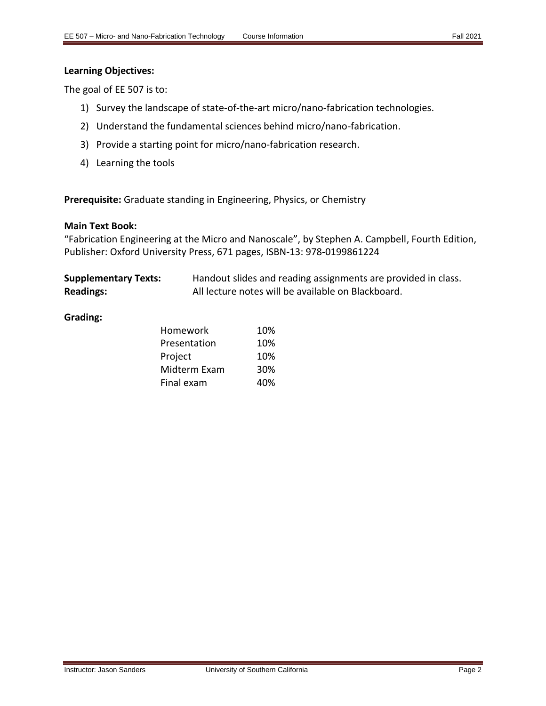## **Learning Objectives:**

The goal of EE 507 is to:

- 1) Survey the landscape of state-of-the-art micro/nano-fabrication technologies.
- 2) Understand the fundamental sciences behind micro/nano-fabrication.
- 3) Provide a starting point for micro/nano-fabrication research.
- 4) Learning the tools

**Prerequisite:** Graduate standing in Engineering, Physics, or Chemistry

## **Main Text Book:**

"Fabrication Engineering at the Micro and Nanoscale", by Stephen A. Campbell, Fourth Edition, Publisher: Oxford University Press, 671 pages, ISBN-13: 978-0199861224

| <b>Supplementary Texts:</b> | Handout slides and reading assignments are provided in class. |
|-----------------------------|---------------------------------------------------------------|
| <b>Readings:</b>            | All lecture notes will be available on Blackboard.            |

## **Grading:**

| Homework     | 10% |
|--------------|-----|
| Presentation | 10% |
| Project      | 10% |
| Midterm Exam | 30% |
| Final exam   | 40% |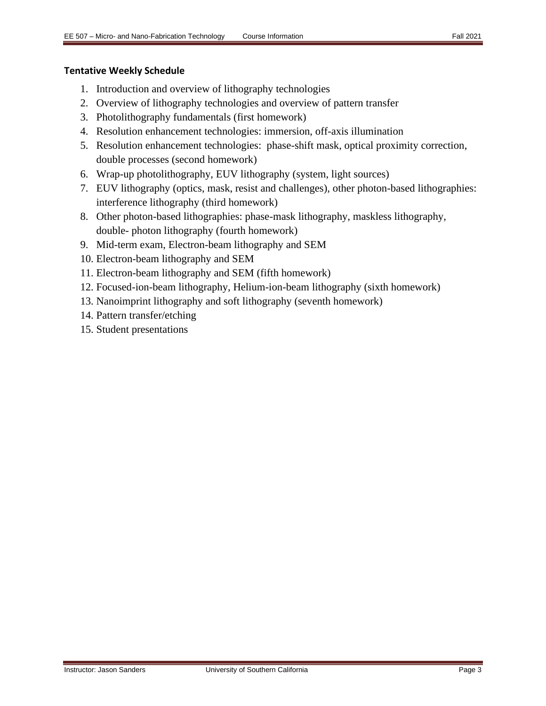# **Tentative Weekly Schedule**

- 1. Introduction and overview of lithography technologies
- 2. Overview of lithography technologies and overview of pattern transfer
- 3. Photolithography fundamentals (first homework)
- 4. Resolution enhancement technologies: immersion, off-axis illumination
- 5. Resolution enhancement technologies: phase-shift mask, optical proximity correction, double processes (second homework)
- 6. Wrap-up photolithography, EUV lithography (system, light sources)
- 7. EUV lithography (optics, mask, resist and challenges), other photon-based lithographies: interference lithography (third homework)
- 8. Other photon-based lithographies: phase-mask lithography, maskless lithography, double- photon lithography (fourth homework)
- 9. Mid-term exam, Electron-beam lithography and SEM
- 10. Electron-beam lithography and SEM
- 11. Electron-beam lithography and SEM (fifth homework)
- 12. Focused-ion-beam lithography, Helium-ion-beam lithography (sixth homework)
- 13. Nanoimprint lithography and soft lithography (seventh homework)
- 14. Pattern transfer/etching
- 15. Student presentations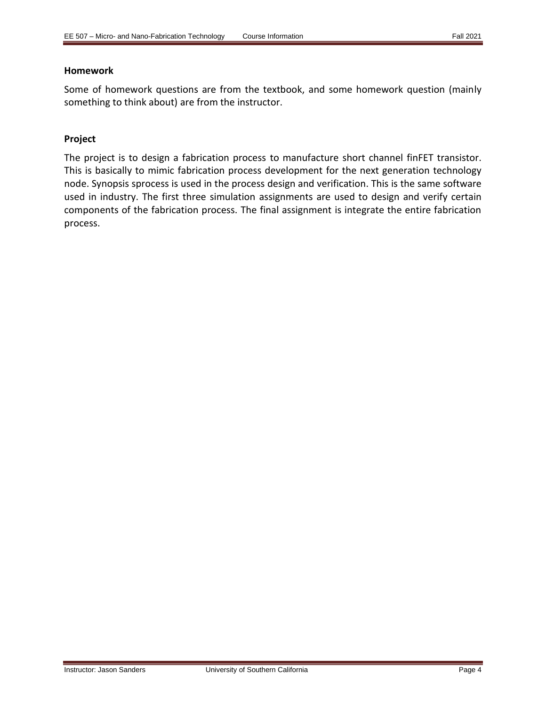## **Homework**

Some of homework questions are from the textbook, and some homework question (mainly something to think about) are from the instructor.

# **Project**

The project is to design a fabrication process to manufacture short channel finFET transistor. This is basically to mimic fabrication process development for the next generation technology node. Synopsis sprocess is used in the process design and verification. This is the same software used in industry. The first three simulation assignments are used to design and verify certain components of the fabrication process. The final assignment is integrate the entire fabrication process.